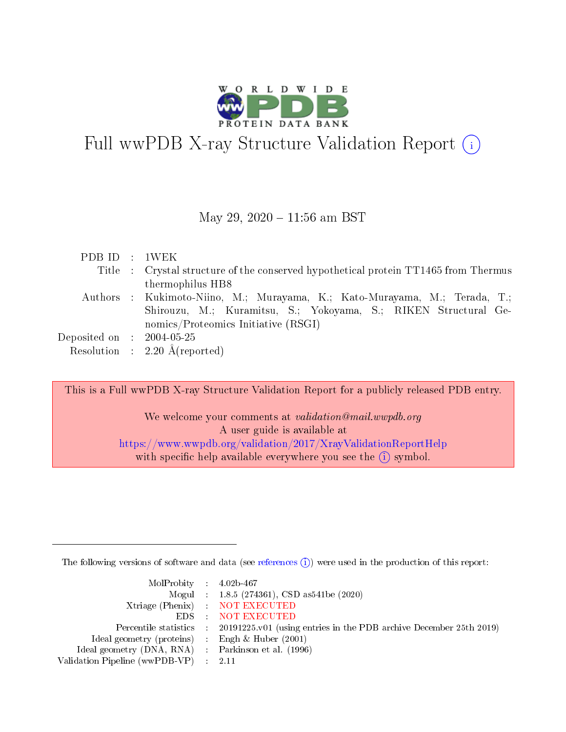

## Full wwPDB X-ray Structure Validation Report (i)

#### May 29, 2020 - 11:56 am BST

| PDB ID : 1WEK                       |                                                                                     |
|-------------------------------------|-------------------------------------------------------------------------------------|
|                                     | Title : Crystal structure of the conserved hypothetical protein TT1465 from Thermus |
|                                     | thermophilus HB8                                                                    |
|                                     | Authors : Kukimoto-Niino, M.; Murayama, K.; Kato-Murayama, M.; Terada, T.;          |
|                                     | Shirouzu, M.; Kuramitsu, S.; Yokoyama, S.; RIKEN Structural Ge-                     |
|                                     | nomics/Proteomics Initiative (RSGI)                                                 |
| Deposited on $\;$ : 2004-05-25 $\;$ |                                                                                     |
|                                     | Resolution : $2.20 \text{ Å}$ (reported)                                            |

This is a Full wwPDB X-ray Structure Validation Report for a publicly released PDB entry.

We welcome your comments at validation@mail.wwpdb.org A user guide is available at <https://www.wwpdb.org/validation/2017/XrayValidationReportHelp> with specific help available everywhere you see the  $(i)$  symbol.

The following versions of software and data (see [references](https://www.wwpdb.org/validation/2017/XrayValidationReportHelp#references)  $(i)$ ) were used in the production of this report:

| $MolProbability$ 4.02b-467                          |                                                                                            |
|-----------------------------------------------------|--------------------------------------------------------------------------------------------|
|                                                     | Mogul : $1.8.5$ (274361), CSD as 541be (2020)                                              |
|                                                     | Xtriage (Phenix) NOT EXECUTED                                                              |
|                                                     | EDS : NOT EXECUTED                                                                         |
|                                                     | Percentile statistics : 20191225.v01 (using entries in the PDB archive December 25th 2019) |
| Ideal geometry (proteins) : Engh $\&$ Huber (2001)  |                                                                                            |
| Ideal geometry (DNA, RNA) : Parkinson et al. (1996) |                                                                                            |
| Validation Pipeline (wwPDB-VP) : 2.11               |                                                                                            |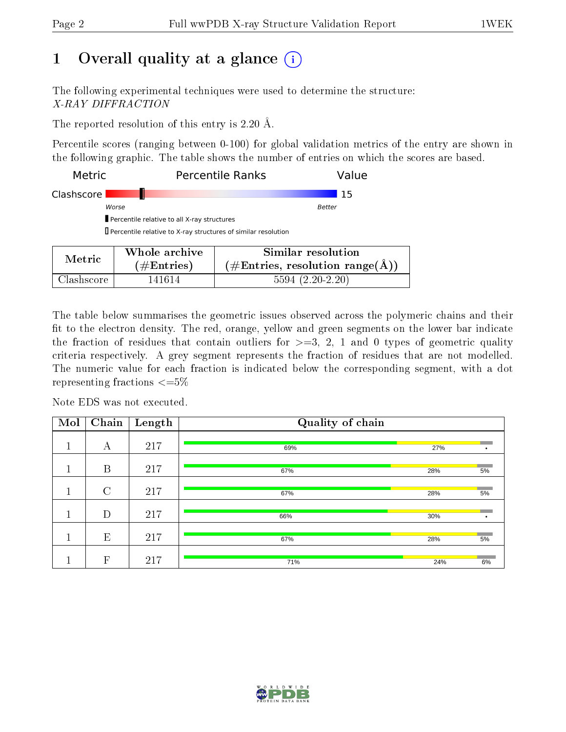## 1 [O](https://www.wwpdb.org/validation/2017/XrayValidationReportHelp#overall_quality)verall quality at a glance  $(i)$

The following experimental techniques were used to determine the structure: X-RAY DIFFRACTION

The reported resolution of this entry is 2.20 Å.

Percentile scores (ranging between 0-100) for global validation metrics of the entry are shown in the following graphic. The table shows the number of entries on which the scores are based.

| <b>Metric</b> |                                                               | <b>Percentile Ranks</b><br>Value                                                                            |
|---------------|---------------------------------------------------------------|-------------------------------------------------------------------------------------------------------------|
| Clashscore    |                                                               | 15                                                                                                          |
|               | Worse                                                         | Better                                                                                                      |
|               | Percentile relative to all X-ray structures                   |                                                                                                             |
|               | Percentile relative to X-ray structures of similar resolution |                                                                                                             |
| Metric        | Whole archive                                                 | Similar resolution                                                                                          |
|               | (110.44)                                                      | $H$ $\mathbf{D}$ and $\mathbf{D}$ are as $\mathbf{D}$ and $\mathbf{D}$ and $\mathbf{D}$ are as $\mathbf{D}$ |

| Metric     | $\#$ Entries) | $(\#Entries, resolution range(A))$ |
|------------|---------------|------------------------------------|
| Clashscore | 141614        | $5594(2.20-2.20)$                  |

The table below summarises the geometric issues observed across the polymeric chains and their fit to the electron density. The red, orange, yellow and green segments on the lower bar indicate the fraction of residues that contain outliers for  $\geq =3$ , 2, 1 and 0 types of geometric quality criteria respectively. A grey segment represents the fraction of residues that are not modelled. The numeric value for each fraction is indicated below the corresponding segment, with a dot representing fractions  $\leq=5\%$ 

Note EDS was not executed.

| Mol | $\overline{\text{Chain}}$ | Length | Quality of chain |     |    |
|-----|---------------------------|--------|------------------|-----|----|
| п   | А                         | 217    | 69%              | 27% |    |
|     | B                         | 217    | 67%              | 28% | 5% |
| п   | $\rm C$                   | 217    | 67%              | 28% | 5% |
|     | D                         | 217    | 66%              | 30% | ٠  |
|     | E                         | 217    | 67%              | 28% | 5% |
|     | $\mathbf F$               | 217    | 71%              | 24% | 6% |

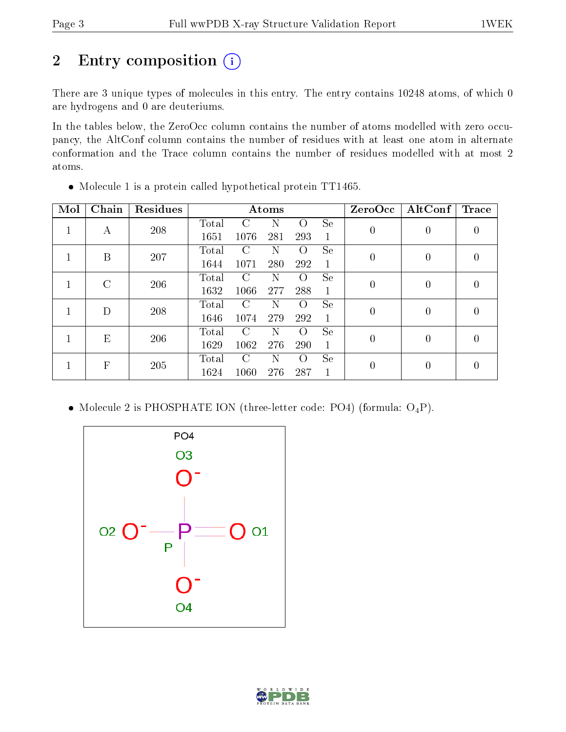## 2 Entry composition (i)

There are 3 unique types of molecules in this entry. The entry contains 10248 atoms, of which 0 are hydrogens and 0 are deuteriums.

In the tables below, the ZeroOcc column contains the number of atoms modelled with zero occupancy, the AltConf column contains the number of residues with at least one atom in alternate conformation and the Trace column contains the number of residues modelled with at most 2 atoms.

| Mol | Chain    | Residues |       |               | Atoms |          |              | ZeroOcc          | $\operatorname{AltConf}$ | Trace          |
|-----|----------|----------|-------|---------------|-------|----------|--------------|------------------|--------------------------|----------------|
|     |          | 208      | Total | C             | Ν     | Ω        | <b>Se</b>    | $\overline{0}$   | $\overline{0}$           | 0              |
|     | А        |          | 1651  | 1076          | 281   | 293      | $\mathbf{1}$ |                  |                          |                |
|     | B        | 207      | Total | C             | Ν     | $\Omega$ | <b>Se</b>    | $\overline{0}$   | $\theta$                 | 0              |
|     |          |          | 1644  | 1071          | 280   | 292      | $\mathbf 1$  |                  |                          |                |
|     | $\Gamma$ | 206      | Total | C             | N     | $\Omega$ | <b>Se</b>    | $\boldsymbol{0}$ | $\overline{0}$           | $\overline{0}$ |
|     |          |          | 1632  | 1066          | 277   | 288      | $\mathbf{1}$ |                  |                          |                |
|     | D        | 208      | Total | C             | N     | $\Omega$ | <b>Se</b>    | $\boldsymbol{0}$ | $\theta$                 | 0              |
|     |          |          | 1646  | 1074          | 279   | 292      | $\mathbf{1}$ |                  |                          |                |
|     |          | E<br>206 | Total | $\mathcal{C}$ | Ν     | $\Omega$ | <b>Se</b>    | $\overline{0}$   | $\theta$                 | 0              |
|     |          |          | 1629  | 1062          | 276   | 290      | 1            |                  |                          |                |
|     | F        | 205      | Total | C             | N     | $\Omega$ | <b>Se</b>    |                  | $\overline{0}$           | 0              |
|     |          |          | 1624  | 1060          | 276   | 287      | $\mathbf 1$  | $\overline{0}$   |                          |                |

Molecule 1 is a protein called hypothetical protein TT1465.

• Molecule 2 is PHOSPHATE ION (three-letter code: PO4) (formula:  $O_4P$ ).



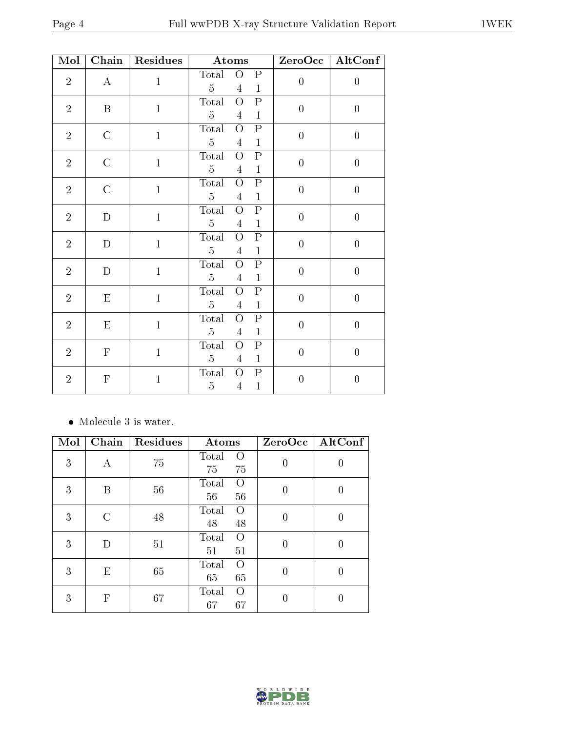| Mol            | Chain         | Residues     | Atoms                                                                                                    | ZeroOcc          | $\rm AltConf$    |
|----------------|---------------|--------------|----------------------------------------------------------------------------------------------------------|------------------|------------------|
| $\sqrt{2}$     | $\bf{A}$      | $\mathbf{1}$ | $\overline{O}$<br>Total<br>$\boldsymbol{\mathrm{P}}$<br>$\overline{5}$<br>$\mathbf{1}$<br>$\overline{4}$ | $\boldsymbol{0}$ | $\boldsymbol{0}$ |
| $\overline{2}$ | B             | $\mathbf{1}$ | ${\bf P}$<br>Total<br>$\overline{O}$<br>$\overline{5}$<br>$\overline{4}$<br>$\mathbf{1}$                 | $\boldsymbol{0}$ | $\boldsymbol{0}$ |
| $\overline{2}$ | $\mathcal{C}$ | $\mathbf{1}$ | $\mathbf P$<br>Total<br>$\overline{O}$<br>$\overline{5}$<br>$\mathbf{1}$<br>$\overline{4}$               | $\overline{0}$   | $\overline{0}$   |
| $\sqrt{2}$     | $\mathcal{C}$ | $\mathbf{1}$ | $\overline{O}$<br>${\bf P}$<br>Total<br>$\overline{5}$<br>$\mathbf{1}$<br>$\overline{4}$                 | $\overline{0}$   | $\overline{0}$   |
| $\sqrt{2}$     | $\mathcal{C}$ | $\mathbf{1}$ | $\overline{O}$<br>${\bf P}$<br>Total<br>$\overline{5}$<br>$\mathbf{1}$<br>$\overline{4}$                 | $\overline{0}$   | $\boldsymbol{0}$ |
| $\sqrt{2}$     | D             | $\mathbf{1}$ | $\mathbf P$<br>Total<br>$\overline{O}$<br>$\overline{5}$<br>$\mathbf{1}$<br>$\overline{4}$               | $\overline{0}$   | $\overline{0}$   |
| $\sqrt{2}$     | D             | $\mathbf{1}$ | ${\bf P}$<br>Total<br>$\overline{O}$<br>$\overline{5}$<br>$\mathbf{1}$<br>$\overline{4}$                 | $\overline{0}$   | $\boldsymbol{0}$ |
| $\overline{2}$ | D             | $\mathbf{1}$ | $\overline{\mathrm{P}}$<br>Total<br>$\overline{O}$<br>$\overline{5}$<br>$\mathbf{1}$<br>$\overline{4}$   | $\overline{0}$   | $\overline{0}$   |
| $\sqrt{2}$     | $\mathbf E$   | $\mathbf{1}$ | ${\bf P}$<br>$\overline{O}$<br>Total<br>$\overline{5}$<br>$\mathbf{1}$<br>4                              | $\overline{0}$   | $\overline{0}$   |
| $\sqrt{2}$     | ${\rm E}$     | $\mathbf{1}$ | ${\bf P}$<br>$\overline{O}$<br>Total<br>$\overline{5}$<br>$\mathbf{1}$<br>$\overline{4}$                 | $\boldsymbol{0}$ | $\boldsymbol{0}$ |
| $\overline{2}$ | $\mathbf F$   | $\mathbf{1}$ | ${\bf P}$<br>$\overline{O}$<br>Total<br>$\overline{5}$<br>$\mathbf{1}$<br>$\overline{4}$                 | $\overline{0}$   | $\overline{0}$   |
| $\overline{2}$ | $\mathbf F$   | $\mathbf{1}$ | ${\bf P}$<br>Total<br>$\overline{O}$<br>$\overline{5}$<br>$\mathbf{1}$<br>$\overline{4}$                 | $\boldsymbol{0}$ | $\boldsymbol{0}$ |

• Molecule 3 is water.

| Mol | Chain                     | Residues | Atoms                         | ZeroOcc  | AltConf |
|-----|---------------------------|----------|-------------------------------|----------|---------|
| 3   | А                         | 75       | Total<br>O<br>75<br>75        | $\theta$ | O       |
| 3   | B                         | 56       | Total<br>$\Omega$<br>56<br>56 | $\Omega$ | O       |
| 3   | C                         | 48       | Total<br>$\Omega$<br>48<br>48 | 0        |         |
| 3   | D                         | 51       | Total<br>O<br>51<br>51        | 0        | 0       |
| 3   | E                         | 65       | Total<br>$\Omega$<br>65<br>65 | $\theta$ | 0       |
| 3   | $\boldsymbol{\mathrm{F}}$ | 67       | Total<br>O<br>67<br>67        |          |         |

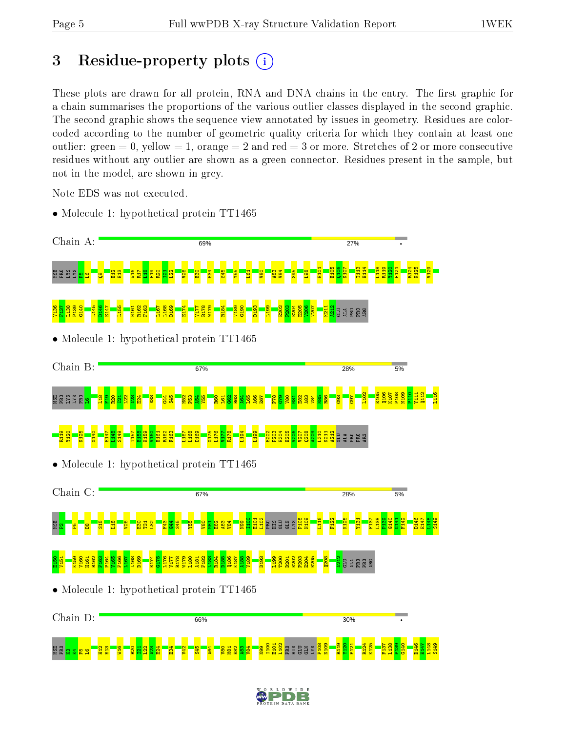ត្ត<br>តួមួន និ<mark>ន ន</mark>

 $\frac{2}{11}$  $\frac{2}{13}$  $\frac{16}{2}$  $\frac{1}{2}$  $\frac{1}{2}$  $\frac{22}{2}$  $\frac{3}{2}$  $\frac{4}{2}$  $\frac{4}{5}$  $\frac{22}{3}$  $545$ A64 V80  $\frac{1}{8}$  $\frac{8}{2}$  $\frac{3}{2}$  $\frac{1}{84}$ N99 I100 E101 L102 PRO HIS GLU GLN LYS P108 N109 R119 Y120 F121 R124 K125 F137 L138 P139 G140 D146 E147 L148 S149

V129

 $\frac{112}{1}$ L116

E147 L148 S149

## 3 Residue-property plots  $(i)$

These plots are drawn for all protein, RNA and DNA chains in the entry. The first graphic for a chain summarises the proportions of the various outlier classes displayed in the second graphic. The second graphic shows the sequence view annotated by issues in geometry. Residues are colorcoded according to the number of geometric quality criteria for which they contain at least one outlier: green  $= 0$ , yellow  $= 1$ , orange  $= 2$  and red  $= 3$  or more. Stretches of 2 or more consecutive residues without any outlier are shown as a green connector. Residues present in the sample, but not in the model, are shown in grey.

Note EDS was not executed.



• Molecule 1: hypothetical protein TT1465

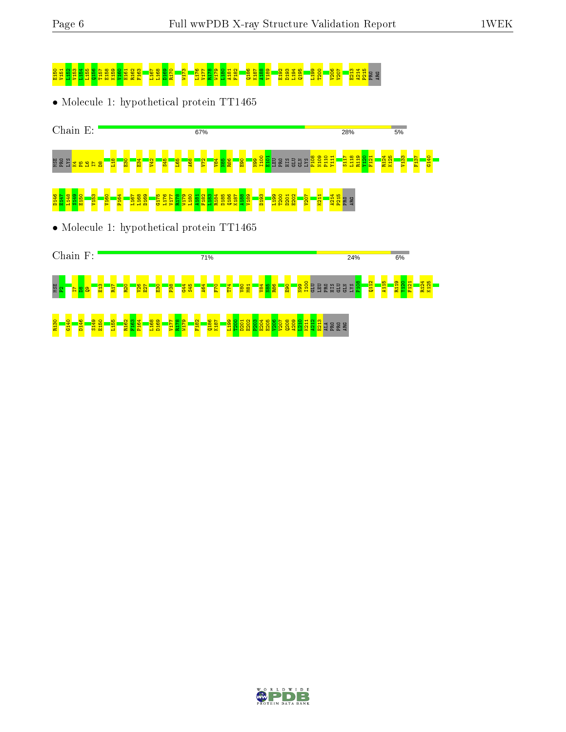# end <mark>Sunsa Kisa Kisa Kisa k</mark>ung Kalén <mark>Gra</mark>ja<br>Rip<mark>a Risa Bilang Kisan Graja Liga</mark>

• Molecule 1: hypothetical protein TT1465





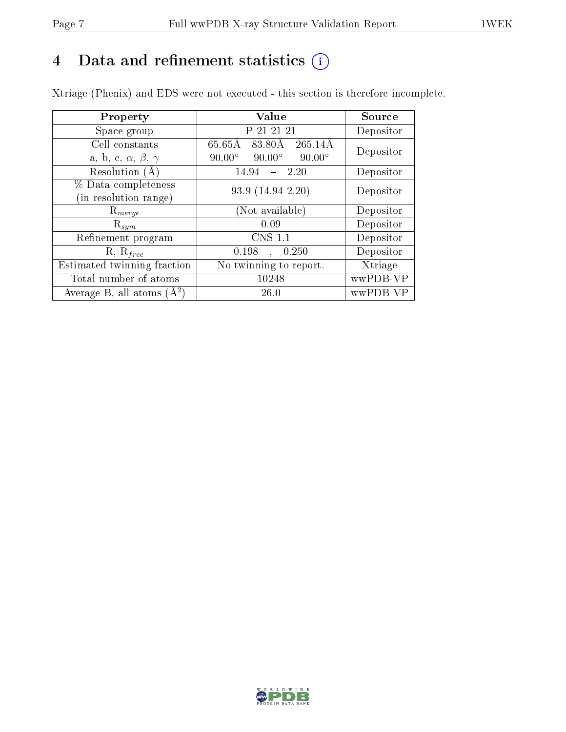## 4 Data and refinement statistics  $(i)$

Xtriage (Phenix) and EDS were not executed - this section is therefore incomplete.

| Property                               | Value                                           | Source    |
|----------------------------------------|-------------------------------------------------|-----------|
| Space group                            | P 21 21 21                                      | Depositor |
| Cell constants                         | 65.65Å<br>$265.14\text{\AA}$<br>83.80Å          | Depositor |
| a, b, c, $\alpha$ , $\beta$ , $\gamma$ | $90.00^\circ$<br>$90.00^\circ$<br>$90.00^\circ$ |           |
| Resolution (A)                         | 14.94<br>- 2.20                                 | Depositor |
| % Data completeness                    | 93.9 (14.94-2.20)                               | Depositor |
| (in resolution range)                  |                                                 |           |
| $R_{merge}$                            | (Not available)                                 | Depositor |
| $\mathrm{R}_{sym}$                     | 0.09                                            | Depositor |
| Refinement program                     | <b>CNS 1.1</b>                                  | Depositor |
| $R, R_{free}$                          | 0.198<br>0.250<br>$\ddot{\phantom{a}}$          | Depositor |
| Estimated twinning fraction            | No twinning to report.                          | Xtriage   |
| Total number of atoms                  | 10248                                           | wwPDB-VP  |
| Average B, all atoms $(A^2)$           | 26.0                                            | wwPDB-VP  |

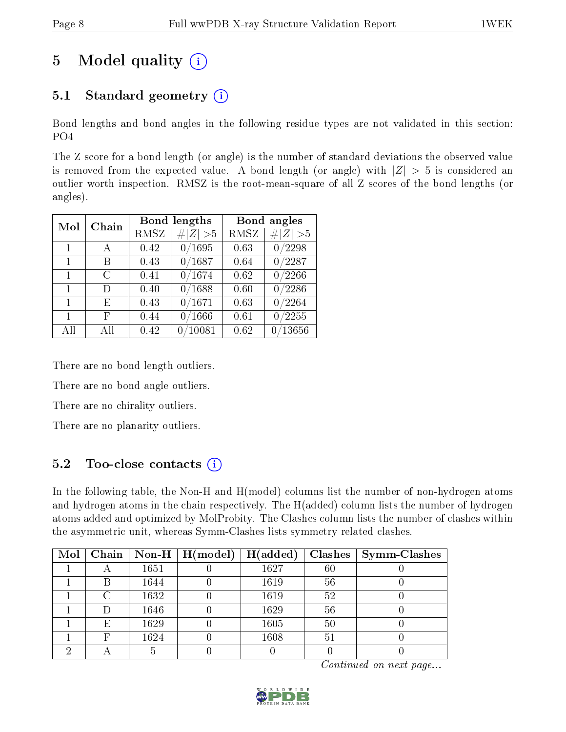## 5 Model quality  $(i)$

## 5.1 Standard geometry  $(i)$

Bond lengths and bond angles in the following residue types are not validated in this section: PO4

The Z score for a bond length (or angle) is the number of standard deviations the observed value is removed from the expected value. A bond length (or angle) with  $|Z| > 5$  is considered an outlier worth inspection. RMSZ is the root-mean-square of all Z scores of the bond lengths (or angles).

| Mol          | Chain |      | Bond lengths     |      | Bond angles      |
|--------------|-------|------|------------------|------|------------------|
|              |       | RMSZ | Z   > 5          | RMSZ | # $ Z  > 5$      |
| $\mathbf{1}$ | A     | 0.42 | 0/1695           | 0.63 | 0/2298           |
| $\mathbf{1}$ | В     | 0.43 | 0/1687           | 0.64 | $\frac{0}{2287}$ |
| 1            | C     | 0.41 | 0/1674           | 0.62 | 0/2266           |
| $\mathbf{1}$ | D)    | 0.40 | $\frac{0}{1688}$ | 0.60 | $\frac{0}{2286}$ |
| $\mathbf{1}$ | E     | 0.43 | 0/1671           | 0.63 | 0/2264           |
| 1            | F     | 0.44 | 0/1666           | 0.61 | 0/2255           |
| All          | АH    | 0.42 | /10081           | 0.62 | /13656<br>0      |

There are no bond length outliers.

There are no bond angle outliers.

There are no chirality outliers.

There are no planarity outliers.

## 5.2 Too-close contacts  $(i)$

In the following table, the Non-H and H(model) columns list the number of non-hydrogen atoms and hydrogen atoms in the chain respectively. The H(added) column lists the number of hydrogen atoms added and optimized by MolProbity. The Clashes column lists the number of clashes within the asymmetric unit, whereas Symm-Clashes lists symmetry related clashes.

| Mol | Chain |      | $\mid$ Non-H $\mid$ H(model) | H(added) |    | $Clashes$   Symm-Clashes |
|-----|-------|------|------------------------------|----------|----|--------------------------|
|     |       | 1651 |                              | 1627     | 60 |                          |
|     | В     | 1644 |                              | 1619     | 56 |                          |
|     | C     | 1632 |                              | 1619     | 52 |                          |
|     |       | 1646 |                              | 1629     | 56 |                          |
|     | E     | 1629 |                              | 1605     | 50 |                          |
|     | F     | 1624 |                              | 1608     | 51 |                          |
|     |       |      |                              |          |    |                          |

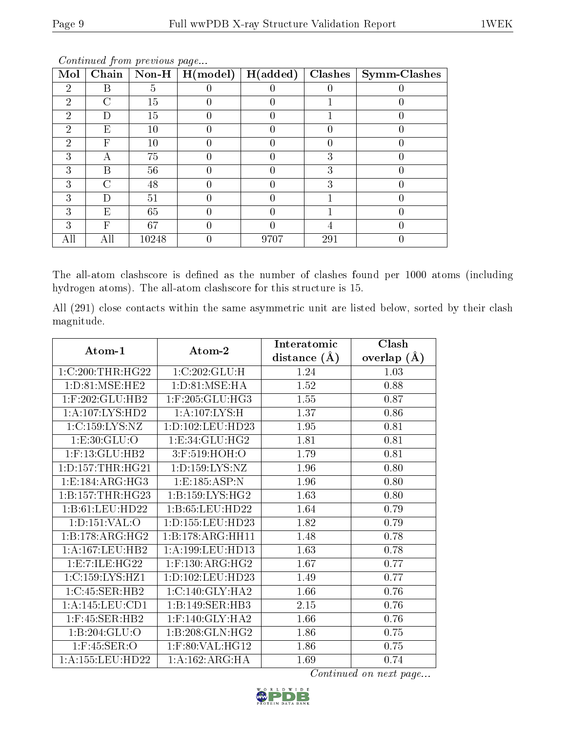| Mol            | Chain  | $\mathbb{N}\text{on-H}$ | ັ<br>H (model) | H(added) | <b>Clashes</b> | $\mid$ Symm-Clashes |
|----------------|--------|-------------------------|----------------|----------|----------------|---------------------|
| $\mathfrak{D}$ | В      | b.                      |                |          |                |                     |
| $\mathcal{D}$  | C      | 15                      |                |          |                |                     |
| 2              | ו ו    | 15                      |                |          |                |                     |
| $\mathfrak{D}$ | E      | 10                      |                |          |                |                     |
| 2              | F      | 10                      |                |          |                |                     |
| 3              | А      | 75                      |                |          | 3              |                     |
| 3              | В      | 56                      |                |          | 3              |                     |
| 3              | C      | 48                      |                |          | 3              |                     |
| 3              | $\Box$ | 51                      |                |          |                |                     |
| 3              | E      | 65                      |                |          |                |                     |
| 3              | F      | 67                      |                |          |                |                     |
|                | Ш      | 10248                   |                | 9707     | 291            |                     |

The all-atom clashscore is defined as the number of clashes found per 1000 atoms (including hydrogen atoms). The all-atom clashscore for this structure is 15.

All (291) close contacts within the same asymmetric unit are listed below, sorted by their clash magnitude.

| Atom-1               | Atom-2                       | Interatomic    | Clash          |
|----------------------|------------------------------|----------------|----------------|
|                      |                              | distance $(A)$ | overlap<br>(A) |
| 1:C:200:THR:HG22     | 1:C:202:GLU:H                | 1.24           | 1.03           |
| 1: D:81: MSE: HE2    | 1: D: 81: MSE: HA            | 1.52           | 0.88           |
| 1:F:202:GLU:HB2      | $1:$ F:205:GLU:HG3           | 1.55           | 0.87           |
| 1: A: 107: LYS: HD2  | 1: A:107:LYS:H               | 1.37           | 0.86           |
| 1:C:159:LYS:NZ       | 1:D:102:LEU:HD23             | 1.95           | 0.81           |
| 1: E: 30: GLU: O     | 1: E: 34: GLU: HG2           | 1.81           | 0.81           |
| $1:$ F:13:GLU:HB2    | 3:F:519:HOH:O                | 1.79           | 0.81           |
| 1: D: 157: THR: HG21 | 1:D:159:LYS:NZ               | 1.96           | 0.80           |
| 1:E:184:ARG:HG3      | 1:E:185:ASP:N                | 1.96           | 0.80           |
| 1:B:157:THR:HG23     | 1: B: 159: LYS: HG2          | 1.63           | 0.80           |
| 1:B:61:LEU:HD22      | 1:B:65:LEU:HD22              | 1.64           | 0.79           |
| 1: D: 151: VAL: O    | 1:D:155:LEU:HD23             | 1.82           | 0.79           |
| 1:B:178:ARG:HG2      | 1:B:178:ARG:HH11             | 1.48           | 0.78           |
| 1: A: 167: LEU: HB2  | 1:A:199:LEU:HD13             | 1.63           | 0.78           |
| 1:E:7:ILE:HG22       | 1:F:130:ARG:HG2              | 1.67           | 0.77           |
| 1:C:159:LYS:HZ1      | 1:D:102:LEU:HD23             | 1.49           | 0.77           |
| 1:C:45:SER:HB2       | $1:C:140:GLY:H\overline{A2}$ | 1.66           | 0.76           |
| 1:A:145:LEU:CD1      | 1:B:149:SER:HB3              | 2.15           | 0.76           |
| $1:$ F:45:SER:HB2    | $1:$ F:140:GLY:HA2           | 1.66           | 0.76           |
| 1:B:204:GLU:O        | 1:B:208:GLN:HG2              | 1.86           | 0.75           |
| $1:$ F:45:SER:O      | 1:F:80:VAL:HG12              | 1.86           | 0.75           |
| 1:A:155:LEU:HD22     | 1:A:162:ARG:HA               | 1.69           | 0.74           |

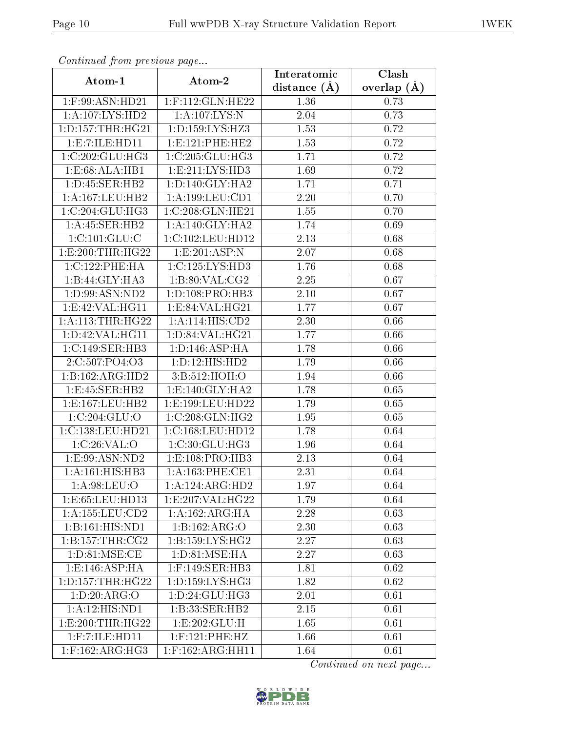| сонинией јтот ртеvиоиз раде | Clash                            |                               |                 |  |
|-----------------------------|----------------------------------|-------------------------------|-----------------|--|
| Atom-1                      | Atom-2                           | Interatomic<br>distance $(A)$ | overlap $(\AA)$ |  |
| $1:$ F:99:ASN:HD21          | 1:F:112:GLN:HE22                 | 1.36                          | 0.73            |  |
| 1:A:107:LYS:HD2             | 1:A:107:LYS:N                    | 2.04                          | 0.73            |  |
| 1: D: 157: THR: HG21        | $1: D: 159: LYS: H\overline{Z3}$ | 1.53                          | 0.72            |  |
| 1: E: 7: ILE: HD11          | 1:E:121:PHE:HE2                  | 1.53                          | 0.72            |  |
| 1:C:202:GLU:HG3             | $1:C:205:GLU:\overline{H}G3$     | 1.71                          | 0.72            |  |
| 1:E:68:ALA:HB1              | 1: E: 211: LYS: HD3              | 1.69                          | 0.72            |  |
| 1:D:45:SER:HB2              | 1: D: 140: GLY: HA2              | 1.71                          | 0.71            |  |
| 1:A:167:LEU:HB2             | 1: A: 199: LEU: CD1              | 2.20                          | 0.70            |  |
| 1:C:204:GLU:HG3             | 1:C:208:GLN:HE21                 | 1.55                          | 0.70            |  |
| 1: A:45: SER:HB2            | 1: A:140: GLY:HA2                | 1.74                          | 0.69            |  |
| 1:C:101:GLU:C               | 1:C:102:LEU:HD12                 | 2.13                          | 0.68            |  |
| 1: E:200: THR: HG22         | $1: E:201: \overline{ASP:N}$     | 2.07                          | 0.68            |  |
| 1:C:122:PHE:HA              | 1:C:125:LYS:HD3                  | 1.76                          | 0.68            |  |
| 1:B:44:GLY:HA3              | 1: B:80: VAL: CG2                | 2.25                          | 0.67            |  |
| 1:D:99:ASN:ND2              | 1:D:108:PRO:HB3                  | 2.10                          | 0.67            |  |
| 1:E:42:VAL:HG11             | 1:E:84:VAL:HG21                  | 1.77                          | 0.67            |  |
| 1: A:113:THR:HG22           | 1:A:114:HIS:CD2                  | 2.30                          | 0.66            |  |
| 1: D: 42: VAL: HG11         | 1:D:84:VAL:HG21                  | 1.77                          | 0.66            |  |
| 1:C:149:SER:HB3             | 1: D: 146: ASP: HA               | <b>1.78</b>                   | 0.66            |  |
| 2:C:507:PO4:O3              | 1: D: 12: HIS: HD2               | 1.79                          | 0.66            |  |
| 1:B:162:ARG:HD2             | 3:B:512:HOH:O                    | 1.94                          | 0.66            |  |
| 1:E:45:SER:HB2              | 1: E: 140: GLY: HA2              | 1.78                          | 0.65            |  |
| 1: E: 167: LEU: HB2         | 1:E:199:LEU:HD22                 | 1.79                          | 0.65            |  |
| 1:C:204:GLU:O               | 1:C:208:GLN:HG2                  | 1.95                          | 0.65            |  |
| 1:C:138:LEU:HD21            | 1:C:168:LEU:HD12                 | 1.78                          | 0.64            |  |
| 1:C:26:VAL:O                | 1:C:30:GLU:HG3                   | 1.96                          | 0.64            |  |
| 1:E:99:ASN:ND2              | 1:E:108:PRO:HB3                  | 2.13                          | 0.64            |  |
| 1:A:161:HIS:HB3             | $1:$ A:163:PHE:CE1               | 2.31                          | 0.64            |  |
| 1: A:98: LEU:O              | 1:A:124:ARG:HD2                  | 1.97                          | 0.64            |  |
| 1:E:65:LEU:HD13             | 1:E:207:VAL:HG22                 | 1.79                          | 0.64            |  |
| 1: A: 155: LEU: CD2         | 1:A:162:ARG:HA                   | 2.28                          | 0.63            |  |
| 1:B:161:HIS:ND1             | 1:B:162:ARG:O                    | 2.30                          | 0.63            |  |
| 1: B:157: THR:CG2           | 1: B: 159: LYS: HG2              | 2.27                          | 0.63            |  |
| 1: D:81: MSE:CE             | 1: D: 81: MSE: HA                | 2.27                          | 0.63            |  |
| 1:E:146:ASP:HA              | $1:$ F:149:SER:HB3               | 1.81                          | 0.62            |  |
| 1: D: 157: THR: HG22        | 1: D: 159: LYS: HG3              | 1.82                          | 0.62            |  |
| 1: D: 20: ARG: O            | 1:D:24:GLU:HG3                   | 2.01                          | 0.61            |  |
| 1:A:12:HIS:ND1              | 1:B:33:SER:HB2                   | 2.15                          | 0.61            |  |
| 1: E:200: THR: HG22         | 1:E:202:GLU:H                    | 1.65                          | 0.61            |  |
| $1:$ F: 7: ILE: HD $11$     | $1:$ F:121:PHE:HZ                | 1.66                          | 0.61            |  |
| $1:$ F:162:ARG:HG3          | 1:F:162:ARG:HH11                 | 1.64                          | 0.61            |  |

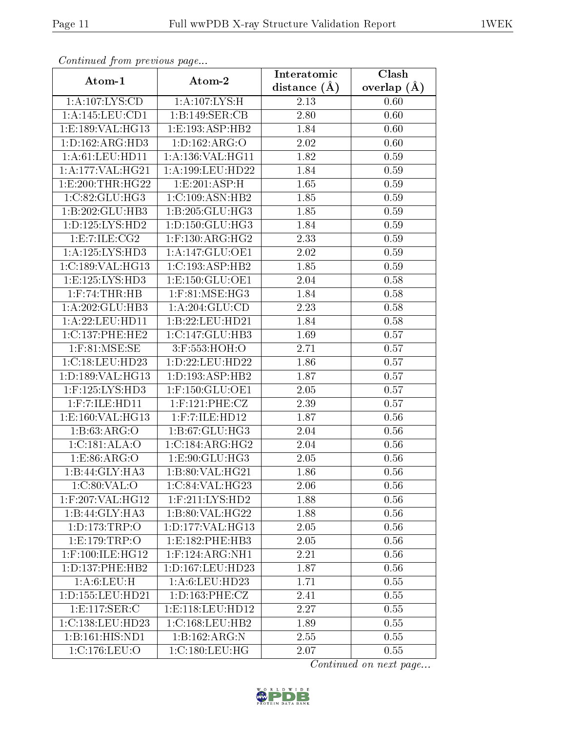| сонинией јтот ртеvиоиз раде |                        | Interatomic      | Clash           |
|-----------------------------|------------------------|------------------|-----------------|
| Atom-1                      | Atom-2                 | distance $(\AA)$ | overlap $(\AA)$ |
| 1:A:107:LYS:CD              | 1:A:107:LYS:H          | 2.13             | 0.60            |
| 1:A:145:LEU:CD1             | 1:B:149:SER:CB         | 2.80             | 0.60            |
| 1:E:189:VAL:HG13            | 1: E: 193: ASP: HB2    | 1.84             | 0.60            |
| 1: D: 162: ARG: HD3         | 1:D:162:ARG:O          | 2.02             | 0.60            |
| 1: A:61:LEU:HD11            | 1:A:136:VAL:HG11       | 1.82             | 0.59            |
| 1:A:177:VAL:HG21            | 1:A:199:LEU:HD22       | 1.84             | 0.59            |
| 1: E:200: THR: HG22         | 1: E:201: ASP:H        | 1.65             | 0.59            |
| 1:C:82:GLU:HG3              | 1:C:109:ASN:HB2        | 1.85             | 0.59            |
| 1:B:202:GLU:HB3             | 1:B:205:GLU:HG3        | 1.85             | 0.59            |
| 1: D: 125: LYS: HD2         | 1: D: 150: GLU: HG3    | 1.84             | 0.59            |
| 1:E:7:ILE:CG2               | $1:$ F:130:ARG:HG2     | 2.33             | 0.59            |
| 1: A: 125: LYS: HD3         | 1:A:147:GLU:OE1        | 2.02             | 0.59            |
| 1:C:189:VAL:HG13            | 1:C:193:ASP:HB2        | 1.85             | 0.59            |
| 1: E: 125: LYS: HD3         | 1: E: 150: GLU: OE1    | 2.04             | 0.58            |
| $1:$ $F:74:THR:HB$          | $1:$ F:81:MSE:HG3      | 1.84             | 0.58            |
| 1:A:202:GLU:HB3             | 1: A:204: GLU:CD       | 2.23             | 0.58            |
| 1:A:22:LEU:HDI1             | 1:B:22:LEU:HD21        | 1.84             | 0.58            |
| 1:C:137:PHE:HE2             | 1:C:147:GLU:HB3        | 1.69             | 0.57            |
| $1:$ F:81:MSE:SE            | 3:F:553:HOH:O          | 2.71             | 0.57            |
| 1:C:18:LEU:HD23             | 1:D:22:LEU:HD22        | 1.86             | 0.57            |
| 1:D:189:VAL:HG13            | 1:D:193:ASP:HB2        | 1.87             | 0.57            |
| 1:F:125:LYS:HD3             | $1:$ F:150: $GLU$ :OE1 | 2.05             | 0.57            |
| $1:$ F: 7: ILE: HD $11$     | $1:$ F:121:PHE:CZ      | 2.39             | 0.57            |
| 1:E:160:VAL:HG13            | $1:$ F:7:ILE:HD $12$   | 1.87             | 0.56            |
| 1:B:63:ARG:O                | 1:B:67:GLU:HG3         | 2.04             | 0.56            |
| 1:C:181:ALA:O               | 1:C:184:ARG:HG2        | 2.04             | 0.56            |
| 1:ES:86:ARG:O               | 1:E:90:GLU:HG3         | 2.05             | 0.56            |
| 1:B:44:GLY:HA3              | 1:B:80:VAL:HG21        | 1.86             | 0.56            |
| 1:C:80:VAL:O                | 1:C:84:VAL:HG23        | 2.06             | 0.56            |
| $1:$ F:207:VAL:HG12         | $1:$ F:211:LYS:HD2     | 1.88             | 0.56            |
| $1:B:44:GLY:H\overline{A3}$ | 1:B:80:VAL:HG22        | 1.88             | 0.56            |
| 1: D: 173: TRP:O            | 1: D: 177: VAL:HG13    | 2.05             | 0.56            |
| 1:E:179:TRP:O               | 1: E: 182: PHE: HB3    | 2.05             | 0.56            |
| $1:$ F:100:ILE:HG12         | $1:$ F:124:ARG:NH1     | 2.21             | 0.56            |
| 1: D: 137: PHE: HB2         | 1: D: 167: LEU: HD23   | 1.87             | 0.56            |
| 1: A:6: LEU:H               | 1:A:6:LEU:HD23         | 1.71             | 0.55            |
| 1: D: 155: LEU: HD21        | 1: D: 163: PHE: CZ     | 2.41             | 0.55            |
| 1: E: 117: SER:C            | 1: E: 118: LEU: HD12   | 2.27             | 0.55            |
| 1: C: 138: LEU: HD23        | 1:C:168:LEU:HB2        | 1.89             | 0.55            |
| 1:B:161:HIS:ND1             | 1:B:162:ARG:N          | 2.55             | 0.55            |
| 1:C:176:LEU:O               | 1:C:180:LEU:HG         | 2.07             | 0.55            |

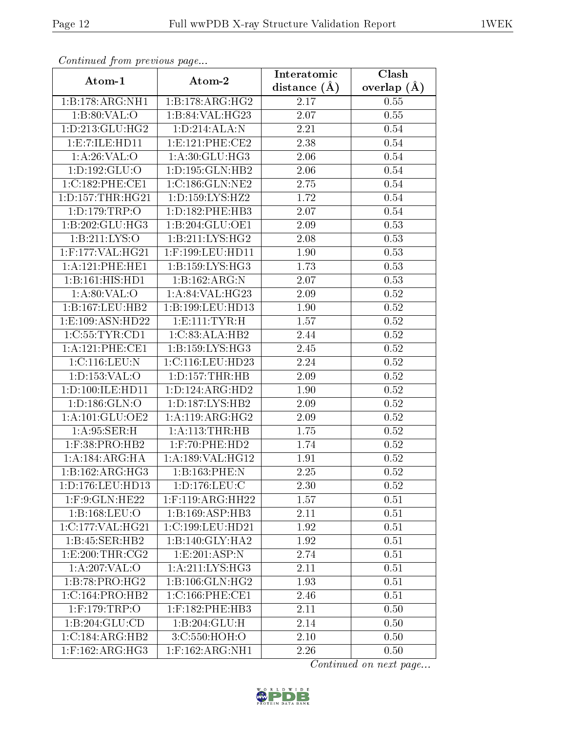| Continuea from previous page | Clash               |                               |               |  |
|------------------------------|---------------------|-------------------------------|---------------|--|
| Atom-1                       | Atom-2              | Interatomic<br>distance $(A)$ | overlap $(A)$ |  |
| 1:B:178:ARG:NH1              | 1:B:178:ARG:HG2     | 2.17                          | 0.55          |  |
| 1:B:80:VAL:O                 | 1:B:84:VAL:HG23     | 2.07                          | 0.55          |  |
| 1: D: 213: GLU: HG2          | 1: D: 214: ALA: N   | 2.21                          | 0.54          |  |
| 1:E:7:ILE:HD11               | 1:E:121:PHE:CE2     | 2.38                          | 0.54          |  |
| 1: A:26:VAL:O                | 1:A:30:GLU:HG3      | 2.06                          | 0.54          |  |
| 1: D: 192: GLU: O            | 1:D:195:GLN:HB2     | 2.06                          | 0.54          |  |
| 1:C:182:PHE:CE1              | 1:C:186:GLN:NE2     | 2.75                          | 0.54          |  |
| 1: D: 157: THR: HG21         | 1:D:159:LYS:HZ2     | 1.72                          | $0.54\,$      |  |
| 1: D: 179: TRP: O            | 1: D: 182: PHE: HB3 | 2.07                          | 0.54          |  |
| 1:B:202:GLU:HG3              | 1:B:204:GLU:OE1     | 2.09                          | 0.53          |  |
| 1: B: 211: LYS: O            | 1:B:211:LYS:HG2     | 2.08                          | 0.53          |  |
| 1:F:177:VAL:HG21             | 1:F:199:LEU:HD11    | 1.90                          | 0.53          |  |
| 1:A:121:PHE:HE1              | 1: B: 159: LYS: HG3 | 1.73                          | 0.53          |  |
| 1:B:161:HIS:HDI              | 1:B:162:ARG:N       | 2.07                          | 0.53          |  |
| 1: A:80: VAL:O               | 1: A:84:VAL:HG23    | 2.09                          | $0.52\,$      |  |
| 1:B:167:LEU:HB2              | 1:B:199:LEU:HD13    | 1.90                          | 0.52          |  |
| 1: E: 109: ASN: HD22         | 1: E: 111: TYR: H   | 1.57                          | $0.52\,$      |  |
| 1:C:55:TYR:CD1               | 1:C:83:ALA:HB2      | 2.44                          | 0.52          |  |
| 1: A:121:PHE:CE1             | 1:B:159:LYS:HG3     | 2.45                          | $0.52\,$      |  |
| 1:C:116:LEU:N                | 1:C:116:LEU:HD23    | 2.24                          | 0.52          |  |
| 1:D:153:VAL:O                | 1: D: 157: THR: HB  | 2.09                          | 0.52          |  |
| 1: D: 100: ILE: HD11         | 1:D:124:ARG:HD2     | 1.90                          | 0.52          |  |
| 1: D: 186: GLN: O            | 1:D:187:LYS:HB2     | 2.09                          | $0.52\,$      |  |
| 1: A: 101: GLU: OE2          | 1: A:119: ARG:HG2   | 2.09                          | 0.52          |  |
| 1: A:95: SER:H               | 1:A:113:THR:HB      | 1.75                          | 0.52          |  |
| 1:F:38:PRO:HB2               | 1:F:70:PHE:HD2      | 1.74                          | 0.52          |  |
| 1:A:184:ARG:HA               | 1:A:189:VAL:HG12    | 1.91                          | 0.52          |  |
| 1:B:162:ARG:HG3              | 1:B:163:PHE:N       | 2.25                          | 0.52          |  |
| 1: D: 176: LEU: HD13         | 1: D: 176: LEU: C   | 2.30                          | 0.52          |  |
| $1:$ F:9:GLN:HE22            | $1:$ F:119:ARG:HH22 | 1.57                          | 0.51          |  |
| 1:B:168:LEU:O                | 1:B:169:ASP:HB3     | 2.11                          | 0.51          |  |
| 1:C:177:VAL:HG21             | 1:C:199:LEU:HD21    | 1.92                          | 0.51          |  |
| 1:B:45:SER:HB2               | 1:B:140:GLY:HA2     | 1.92                          | 0.51          |  |
| 1: E:200: THR:CG2            | 1:E:201:ASP:N       | 2.74                          | 0.51          |  |
| 1: A:207: VAL:O              | 1: A:211:LYS:HG3    | 2.11                          | 0.51          |  |
| 1:B:78:PRO:HG2               | 1:B:106:GLN:HG2     | 1.93                          | 0.51          |  |
| 1:C:164:PRO:HB2              | 1:C:166:PHE:CE1     | 2.46                          | 0.51          |  |
| $1:$ F:179:TRP:O             | $1:$ F:182:PHE:HB3  | 2.11                          | 0.50          |  |
| 1:B:204:GLU:CD               | 1:B:204:GLU:H       | 2.14                          | 0.50          |  |
| 1:C:184:ARG:HB2              | 3:C:550:HOH:O       | 2.10                          | 0.50          |  |
| $1:$ F:162:ARG:HG3           | $1:$ F:162:ARG:NH1  | 2.26                          | 0.50          |  |

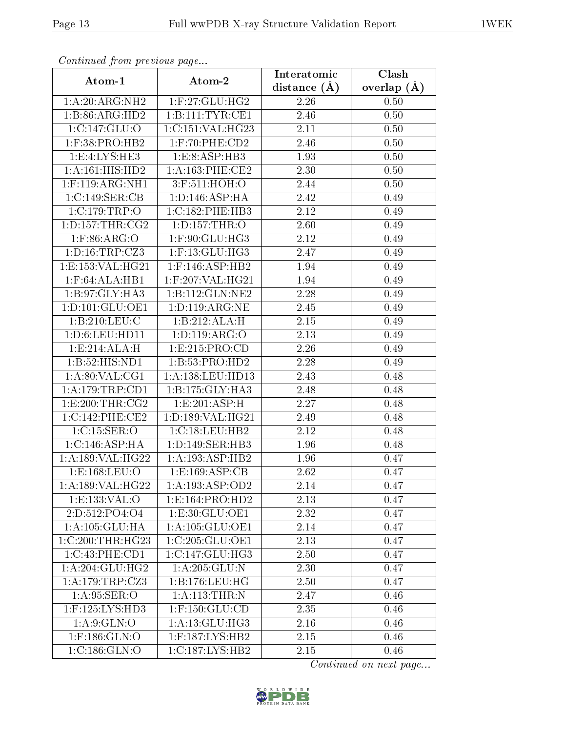| Commaca jibin previous page |                                 | Interatomic       | Clash         |  |
|-----------------------------|---------------------------------|-------------------|---------------|--|
| Atom-1                      | Atom-2                          | distance $(\AA)$  | overlap $(A)$ |  |
| 1:A:20:ARG:NH2              | 1:F:27:GLU:HG2                  | 2.26              | 0.50          |  |
| 1:B:86:ARG:HD2              | 1:B:111:TYR:CE1                 | 2.46              | 0.50          |  |
| 1:C:147:GLU:O               | 1:C:151:VAL:HG23                | 2.11              | 0.50          |  |
| $1:$ F:38:PRO:HB2           | 1:F:70:PHE:CD2                  | 2.46              | 0.50          |  |
| 1: E: 4: LYS: HE3           | 1:E:8:ASP:HB3                   | 1.93              | 0.50          |  |
| 1:A:161:HIS:HD2             | 1: A: 163: PHE: CE2             | 2.30              | 0.50          |  |
| $1:$ F:119:ARG:NH1          | 3:F:511:HOH:O                   | 2.44              | 0.50          |  |
| 1:C:149:SER:CB              | 1: D: 146: ASP: HA              | 2.42              | 0.49          |  |
| $1:C:179:\overline{TRP:O}$  | 1: C: 182: PHE: HB3             | 2.12              | 0.49          |  |
| 1: D: 157: THR: CG2         | 1: D: 157: THR: O               | 2.60              | 0.49          |  |
| $1:$ F:86:ARG:O             | 1:F:90:GLU:HG3                  | 2.12              | 0.49          |  |
| 1: D: 16: TRP: CZ3          | $1:$ F:13: $GLU$ :HG3           | 2.47              | 0.49          |  |
| 1:E:153:VAL:HG21            | $1:$ F:146:ASP:HB2              | 1.94              | 0.49          |  |
| 1:F:64:ALA:HB1              | $1:$ F:207:VAL:HG21             | 1.94              | 0.49          |  |
| 1:B:97:GLY:HA3              | 1:B:112:GLN:NE2                 | 2.28              | 0.49          |  |
| 1: D: 101: GLU: OE1         | 1: D: 119: ARG: NE              | 2.45              | 0.49          |  |
| 1:B:210:LEU:C               | 1:B:212:ALA:H                   | $\overline{2.15}$ | 0.49          |  |
| 1: D:6: LEU: HD11           | 1: D: 119: ARG: O               | 2.13              | 0.49          |  |
| 1:E:214:ALA:H               | 1:E:215:PRO:CD                  | 2.26              | 0.49          |  |
| 1:B:52:HIS:ND1              | 1:B:53:PRO:HD2                  | 2.28              | 0.49          |  |
| 1: A:80: VAL:CG1            | 1:A:138:LEU:HD13                | 2.43              | 0.48          |  |
| 1:A:179:TRP:CD1             | 1: B: 175: GLY: HA3             | 2.48              | 0.48          |  |
| 1:E:200:THR:CG2             | 1:E:201:ASP:H                   | 2.27              | 0.48          |  |
| 1:C:142:PHE:CE2             | 1:D:189:VAL:HG21                | 2.49              | 0.48          |  |
| 1:C:15:SER:O                | 1:C:18:LEU:HB2                  | 2.12              | 0.48          |  |
| 1:C:146:ASP:HA              | 1:D:149:SER:HB3                 | 1.96              | 0.48          |  |
| 1: A: 189: VAL: HG22        | 1:A:193:ASP:HB2                 | 1.96              | 0.47          |  |
| 1: E: 168: LEU: O           | $1: E: 169: ASP: \overline{CB}$ | 2.62              | 0.47          |  |
| 1:A:189:VAL:HG22            | 1:A:193:ASP:OD2                 | 2.14              | 0.47          |  |
| 1:E:133:VAL:O               | 1: E: 164: PRO: HD2             | 2.13              | 0.47          |  |
| 2:D:512:PO4:O4              | 1:E:30:GLU:OE1                  | 2.32              | 0.47          |  |
| 1: A: 105: GLU: HA          | 1: A: 105: GLU: OE1             | 2.14              | 0.47          |  |
| $1:C:200$ : THR: HG23       | 1:C:205:GLU:OE1                 | 2.13              | 0.47          |  |
| 1:C:43:PHE:CD1              | 1:C:147:GLU:HG3                 | 2.50              | 0.47          |  |
| 1:A:204:GLU:HG2             | 1:A:205:GLU:N                   | 2.30              | 0.47          |  |
| 1:A:179:TRP:CZ3             | 1: B: 176: LEU: HG              | 2.50              | 0.47          |  |
| 1: A:95: SER:O              | 1: A:113:THR:N                  | 2.47              | 0.46          |  |
| 1:F:125:LYS:HD3             | $1:$ F:150:GLU:CD               | 2.35              | 0.46          |  |
| 1: A:9: GLN:O               | 1: A:13: GLU: HG3               | 2.16              | 0.46          |  |
| $1:$ F:186:GLN:O            | 1:F:187:LYS:HB2                 | 2.15              | 0.46          |  |
| 1:C:186:GLN:O               | 1:C:187:LYS:HB2                 | 2.15              | 0.46          |  |

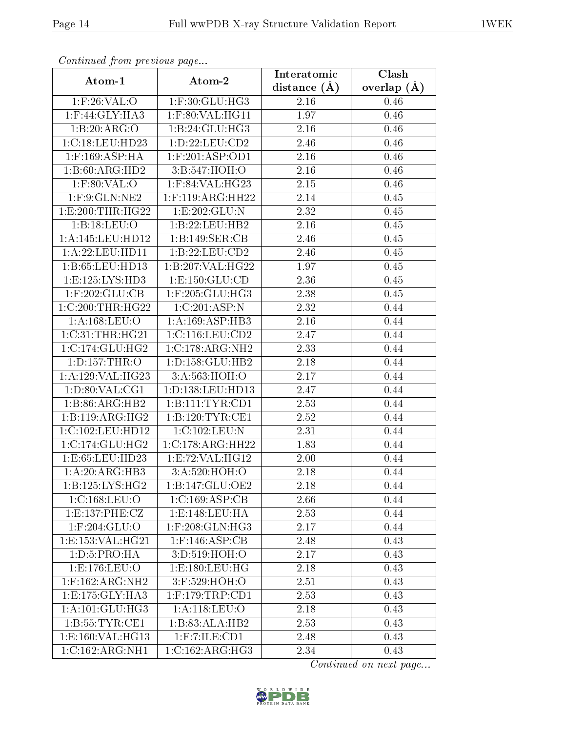| Continuea from previous page |                              | Interatomic    | Clash         |  |
|------------------------------|------------------------------|----------------|---------------|--|
| Atom-1                       | Atom-2                       | distance $(A)$ | overlap $(A)$ |  |
| $1:$ F:26:VAL:O              | 1:F:30:GLU:HG3               | 2.16           | 0.46          |  |
| 1:F:44:GLY:HA3               | $1:$ F:80:VAL:HG11           | 1.97           | 0.46          |  |
| 1:B:20:ARG:O                 | 1:B:24:GLU:HG3               | 2.16           | 0.46          |  |
| 1:C:18:LEU:HD23              | 1:D:22:LEU:CD2               | 2.46           | 0.46          |  |
| $1:$ F:169:ASP:HA            | $1:$ F:201:ASP:OD1           | 2.16           | 0.46          |  |
| 1:B:60:ARG:HD2               | 3:B:547:HOH:O                | 2.16           | 0.46          |  |
| $1:$ F:80:VAL:O              | 1:F:84:VAL:HG23              | 2.15           | 0.46          |  |
| $1:$ F:9:GLN:NE2             | $1:$ F:119:ARG:HH22          | 2.14           | 0.45          |  |
| 1: E:200: THR: HG22          | 1: E: 202: GLU: N            | 2.32           | 0.45          |  |
| 1:B:18:LEU:O                 | 1:B:22:LEU:HB2               | 2.16           | 0.45          |  |
| 1:A:145:LEU:HD12             | 1:B:149:SER:CB               | 2.46           | 0.45          |  |
| 1:A:22:LEU:HDI1              | 1: B: 22: LEU: CD2           | 2.46           | 0.45          |  |
| 1:B:65:LEU:HD13              | 1:B:207:VAL:HG22             | 1.97           | 0.45          |  |
| 1: E: 125: LYS: HD3          | 1: E: 150: GLU: CD           | 2.36           | 0.45          |  |
| $1:$ F:202:GLU:CB            | 1:F:205:GLU:HG3              | 2.38           | 0.45          |  |
| 1:C:200:THR:HG22             | $1:C:201:ASP:\overline{N}$   | 2.32           | 0.44          |  |
| 1: A: 168: LEU: O            | 1:A:169:ASP:HB3              | 2.16           | 0.44          |  |
| 1:C:31:THR:HG21              | 1:C:116:LEU:CD2              | 2.47           | 0.44          |  |
| 1:C:174:CLU:HG2              | 1:C:178:ARG:NH2              | 2.33           | 0.44          |  |
| 1: D: 157: THR:O             | 1: D: 158: GLU: HB2          | 2.18           | 0.44          |  |
| 1:A:129:VAL:HG23             | 3:A:563:HOH:O                | 2.17           | 0.44          |  |
| 1: D:80: VAL:CG1             | 1:D:138:LEU:HD13             | 2.47           | 0.44          |  |
| 1:B:86:ARG:HB2               | 1:B:111:TYR:CD1              | 2.53           | 0.44          |  |
| 1:B:119:ARG:HG2              | 1:B:120:TYR:CE1              | 2.52           | 0.44          |  |
| 1:C:102:LEU:HD12             | 1:C:102:LEU:N                | 2.31           | 0.44          |  |
| 1:C:174:CLU:HG2              | 1:C:178:ARG:HH22             | 1.83           | 0.44          |  |
| 1:E:65:LEU:HD23              | 1:E:72:VAL:HG12              | 2.00           | 0.44          |  |
| 1: A:20: ARG:HB3             | 3:A:520:HOH:O                | 2.18           | 0.44          |  |
| 1: B: 125: LYS: HG2          | $1:B:147:GL\overline{U:OE2}$ | 2.18           | 0.44          |  |
| 1:C:168:LEU:O                | 1:C:169:ASP:CB               | 2.66           | 0.44          |  |
| 1: E: 137: PHE: CZ           | 1: E: 148: LEU: HA           | 2.53           | 0.44          |  |
| $1:$ F:204:GLU:O             | $1:$ F:208:GLN:HG3           | 2.17           | 0.44          |  |
| 1: E: 153: VAL: HG21         | $1:$ F:146:ASP:CB            | 2.48           | 0.43          |  |
| 1: D: 5: PRO: HA             | 3:D:519:HOH:O                | 2.17           | 0.43          |  |
| 1: E: 176: LEU: O            | 1: E: 180: LEU: HG           | 2.18           | 0.43          |  |
| $1:$ F:162:ARG:NH2           | 3:F:529:HOH:O                | 2.51           | 0.43          |  |
| 1: E: 175: GLY: HA3          | $1:$ F:179:TRP:CD1           | 2.53           | 0.43          |  |
| 1: A:101: GLU:HG3            | 1:A:118:LEU:O                | 2.18           | 0.43          |  |
| 1: B: 55: TYR: CE1           | 1:B:83:ALA:HB2               | 2.53           | 0.43          |  |
| 1:E:160:VAL:HG13             | $1:$ F:7:ILE: $CD1$          | 2.48           | 0.43          |  |
| 1:C:162:ARG:NH1              | 1:C:162:ARG:HG3              | 2.34           | 0.43          |  |

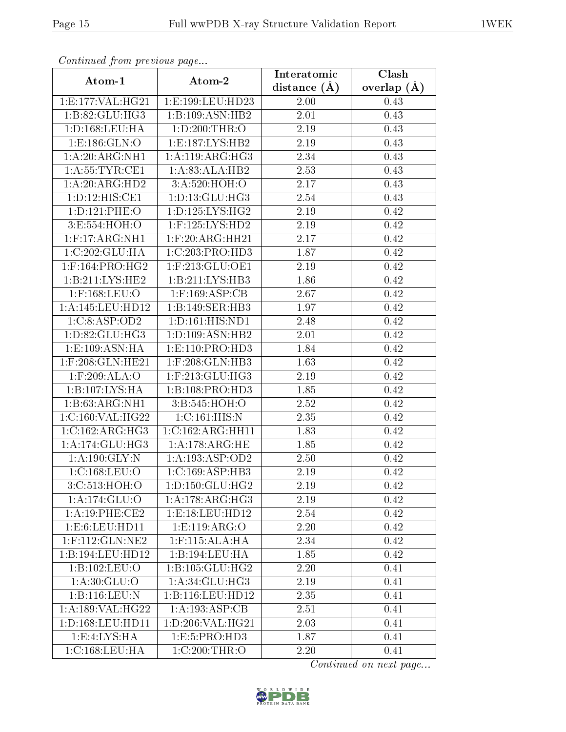| Continuea from previous page         |                                         | Interatomic    | Clash         |
|--------------------------------------|-----------------------------------------|----------------|---------------|
| Atom-1                               | Atom-2                                  | distance $(A)$ | overlap $(A)$ |
| 1:E:177:VAL:HG21                     | 1:E:199:LEU:HD23                        | 2.00           | 0.43          |
| 1:B:82:GLU:HG3                       | 1:B:109:ASN:HB2                         | 2.01           | 0.43          |
| 1: D: 168: LEU: HA                   | 1: D:200:THR:O                          | 2.19           | 0.43          |
| 1:E:186:GLN:O                        | 1:E:187:LYS:HB2                         | 2.19           | 0.43          |
| 1: A:20: ARG:NH1                     | 1: A:119: ARG:HG3                       | 2.34           | 0.43          |
| 1: A:55:TYR:CE1                      | $1:A:83:ALA:H\overline{B2}$             | 2.53           | 0.43          |
| 1:A:20:ARG:HD2                       | 3:A:520:HOH:O                           | 2.17           | 0.43          |
| $1: D: 12: HIS: \overline{CE1}$      | 1: D: 13: GLU: HG3                      | 2.54           | 0.43          |
| 1:D:121:PHE:O                        | 1: D: 125: LYS: HG2                     | 2.19           | 0.42          |
| 3:E:554:HOH:O                        | $1:$ F:125:LYS:HD2                      | 2.19           | 0.42          |
| $1:$ F:17:ARG:NH1                    | $1:$ F:20:ARG:HH21                      | 2.17           | 0.42          |
| 1:C:202:GLU:HA                       | $1:C:203:P\overline{RO:H\overline{D3}}$ | 1.87           | 0.42          |
| $1:$ F:164:PRO:HG2                   | $1:$ F:213:GLU:OE1                      | 2.19           | 0.42          |
| 1:B:211:LYS:HE2                      | 1:B:211:LYS:HB3                         | 1.86           | 0.42          |
| $1:$ F:168:LEU:O                     | $1:$ F:169:ASP:CB                       | 2.67           | 0.42          |
| 1:A:145:LEU:HD12                     | 1:B:149:SER:HB3                         | 1.97           | 0.42          |
| 1:C:8:ASP:OD2                        | 1:D:161:HIS:ND1                         | 2.48           | 0.42          |
| 1: D:82: GLU: HG3                    | 1: D: 109: ASN: HB2                     | 2.01           | 0.42          |
| 1:E:109:ASN:HA                       | 1:E:110:PRO:HD3                         | 1.84           | 0.42          |
| $1:$ F:208:GLN:HE21                  | $1:$ F:208: $GLN:$ HB3                  | 1.63           | 0.42          |
| 1:F:209:ALA:O                        | $1:$ F:213:GLU:HG3                      | 2.19           | 0.42          |
| 1:B:107:LYS:HA                       | 1:B:108:PRO:HD3                         | 1.85           | 0.42          |
| 1:B:63:ARG:NH1                       | 3:B:545:HOH:O                           | 2.52           | 0.42          |
| 1:C:160:VAL:HG22                     | 1:C:161:HIS:N                           | 2.35           | 0.42          |
| 1:C:162:ARG:HG3                      | 1:C:162:ARG:HH11                        | 1.83           | 0.42          |
| 1: A:174: GLU: HG3                   | 1: A:178:ARG:HE                         | 1.85           | 0.42          |
| 1: A: 190: GLY: N                    | 1:A:193:ASP:OD2                         | 2.50           | 0.42          |
| 1:C:168:LEU:O                        | 1:C:169:ASP:HB3                         | 2.19           | 0.42          |
| 3:C:513:HOH:O                        | 1: D: 150: GLU: HG2                     | 2.19           | 0.42          |
| 1:A:174:GLU:O                        | 1:A:178:ARG:HG3                         | 2.19           | 0.42          |
| $1: A:19:PHE: \overline{\text{CE2}}$ | 1: E: 18: LEU: HD12                     | 2.54           | 0.42          |
| 1: E:6: LEU: HD11                    | 1: E: 119: ARG: O                       | 2.20           | 0.42          |
| $1:$ F:112:GLN:NE2                   | $1:$ F:115:ALA:HA                       | 2.34           | 0.42          |
| 1:B:194:LEU:HD12                     | 1:B:194:LEU:HA                          | 1.85           | 0.42          |
| 1:B:102:LEU:O                        | 1: B: 105: GLU: HG2                     | 2.20           | 0.41          |
| 1:A:30:GLU:O                         | 1: A:34: GLU:HG3                        | 2.19           | 0.41          |
| 1:B:116:LEU:N                        | 1:B:116:LEU:HD12                        | 2.35           | 0.41          |
| 1:A:189:VAL:HG22                     | 1:A:193:ASP:CB                          | 2.51           | 0.41          |
| 1:D:168:LEU:HD11                     | 1:D:206:VAL:HG21                        | 2.03           | 0.41          |
| 1: E: 4: LYS: HA                     | 1:E:5:PRO:HD3                           | 1.87           | 0.41          |
| 1:C:168:LEU:HA                       | 1:C:200:THR:O                           | 2.20           | 0.41          |

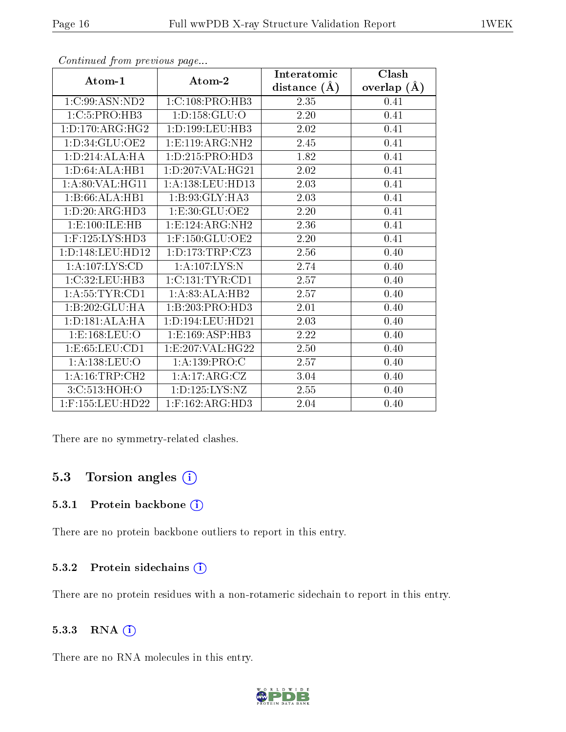|                     |                                   | Interatomic      | Clash         |
|---------------------|-----------------------------------|------------------|---------------|
| Atom-1              | Atom-2                            | distance $(\AA)$ | overlap $(A)$ |
| 1:C:99:ASN:ND2      | 1: C: 108: PRO: HB3               | 2.35             | 0.41          |
| 1:C:5:PRO:HB3       | 1: D: 158: GLU: O                 | 2.20             | 0.41          |
| 1: D: 170: ARG: HG2 | 1: D: 199: LEU: HB3               | 2.02             | 0.41          |
| 1:D:34:GLU:OE2      | 1: E: 119: ARG: NH2               | 2.45             | 0.41          |
| 1: D: 214: ALA: HA  | 1: D: 215: PRO: HD3               | 1.82             | 0.41          |
| 1: D:64: ALA:HB1    | 1:D:207:VAL:HG21                  | 2.02             | 0.41          |
| 1: A:80: VAL: HG11  | 1:A:138:LEU:HD13                  | 2.03             | 0.41          |
| 1:B:66:ALA:HB1      | 1:B:93:GLY:HA3                    | 2.03             | 0.41          |
| 1:D:20:ARG:HD3      | 1:E:30:GLU:OE2                    | 2.20             | 0.41          |
| 1:E:100:ILE:HB      | 1:E:124:ARG:NH2                   | 2.36             | 0.41          |
| $1:$ F:125:LYS:HD3  | $1:$ F:150:GLU:OE2                | 2.20             | 0.41          |
| 1:D:148:LEU:HD12    | 1: D: 173: TRP: CZ3               | 2.56             | 0.40          |
| 1:A:107:LYS:CD      | 1:A:107:LYS:N                     | 2.74             | 0.40          |
| 1:C:32:LEU:HB3      | 1: C: 131: TYR: CD1               | 2.57             | 0.40          |
| 1: A: 55: TYR: CD1  | 1:A:83:ALA:HB2                    | 2.57             | 0.40          |
| 1:B:202:GLU:HA      | 1:B:203:PRO:HD3                   | 2.01             | 0.40          |
| 1: D: 181: ALA: HA  | 1:D:194:LEU:HD21                  | 2.03             | 0.40          |
| 1: E: 168: LEU: O   | 1:E:169:ASP:HB3                   | 2.22             | 0.40          |
| 1:E:65:LEU:CD1      | $1: E: 207: VAL: \overline{HG22}$ | 2.50             | 0.40          |
| 1:A:138:LEU:O       | 1: A: 139: PRO: C                 | 2.57             | 0.40          |
| 1: A:16:TRP:CH2     | 1:A:17:ARG:CZ                     | 3.04             | 0.40          |
| 3:C:513:HOH:O       | 1: D: 125: LYS: NZ                | 2.55             | 0.40          |
| $1:$ F:155:LEU:HD22 | $1:$ F:162:ARG:HD3                | $2.04\,$         | 0.40          |

There are no symmetry-related clashes.

## 5.3 Torsion angles  $(i)$

#### 5.3.1 Protein backbone (i)

There are no protein backbone outliers to report in this entry.

#### 5.3.2 Protein sidechains (i)

There are no protein residues with a non-rotameric sidechain to report in this entry.

#### 5.3.3 RNA (i)

There are no RNA molecules in this entry.

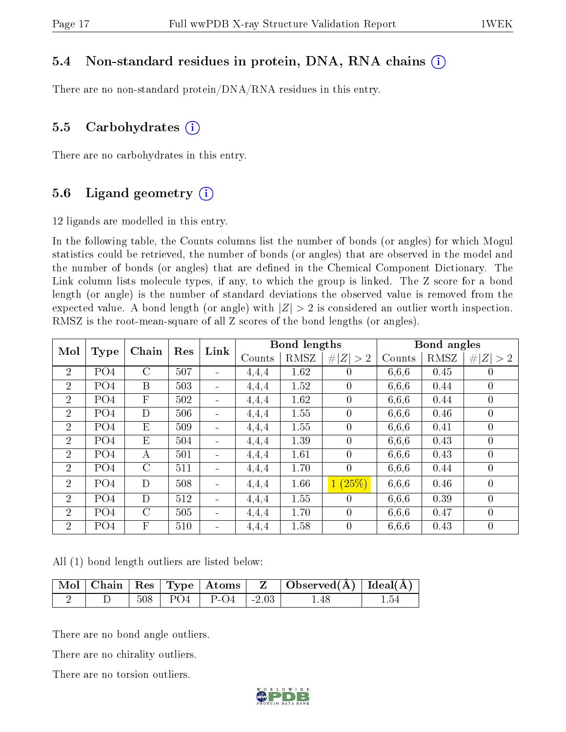### 5.4 Non-standard residues in protein, DNA, RNA chains (i)

There are no non-standard protein/DNA/RNA residues in this entry.

#### 5.5 Carbohydrates  $(i)$

There are no carbohydrates in this entry.

### 5.6 Ligand geometry  $(i)$

12 ligands are modelled in this entry.

In the following table, the Counts columns list the number of bonds (or angles) for which Mogul statistics could be retrieved, the number of bonds (or angles) that are observed in the model and the number of bonds (or angles) that are dened in the Chemical Component Dictionary. The Link column lists molecule types, if any, to which the group is linked. The Z score for a bond length (or angle) is the number of standard deviations the observed value is removed from the expected value. A bond length (or angle) with  $|Z| > 2$  is considered an outlier worth inspection. RMSZ is the root-mean-square of all Z scores of the bond lengths (or angles).

| Mol            |                 | Chain          | Res | Link                         |        | <b>Bond lengths</b> |                |        | Bond angles |                |
|----------------|-----------------|----------------|-----|------------------------------|--------|---------------------|----------------|--------|-------------|----------------|
|                | Type            |                |     |                              | Counts | RMSZ                | # $ Z  > 2$    | Counts | RMSZ        | # $ Z  > 2$    |
| $\overline{2}$ | PO <sub>4</sub> | $\overline{C}$ | 507 | $\overline{\phantom{a}}$     | 4,4,4  | 1.62                | $\theta$       | 6,6,6  | 0.45        | 0              |
| 2              | PO <sub>4</sub> | B              | 503 | $\blacksquare$               | 4,4,4  | 1.52                | $\theta$       | 6,6,6  | 0.44        | $\theta$       |
| $\overline{2}$ | PO <sub>4</sub> | $\overline{F}$ | 502 | $\qquad \qquad \blacksquare$ | 4,4,4  | 1.62                | $\overline{0}$ | 6,6,6  | 0.44        | 0              |
| 2              | PO <sub>4</sub> | D              | 506 | $\qquad \qquad \blacksquare$ | 4,4,4  | 1.55                | $\overline{0}$ | 6,6,6  | 0.46        | $\overline{0}$ |
| 2              | PO <sub>4</sub> | E              | 509 | $\overline{\phantom{a}}$     | 4,4,4  | 1.55                | $\overline{0}$ | 6,6,6  | 0.41        | 0              |
| 2              | PO <sub>4</sub> | E              | 504 | $\blacksquare$               | 4,4,4  | 1.39                | $\overline{0}$ | 6,6,6  | 0.43        | $\overline{0}$ |
| $\overline{2}$ | PO <sub>4</sub> | А              | 501 | $\qquad \qquad \blacksquare$ | 4,4,4  | 1.61                | $\theta$       | 6,6,6  | 0.43        | $\theta$       |
| $\overline{2}$ | PO <sub>4</sub> | $\mathcal{C}$  | 511 | $\qquad \qquad \blacksquare$ | 4,4,4  | 1.70                | $\overline{0}$ | 6,6,6  | 0.44        | $\overline{0}$ |
| $\overline{2}$ | PO <sub>4</sub> | D              | 508 | $\blacksquare$               | 4,4,4  | 1.66                | (25%)<br>1     | 6,6,6  | 0.46        | $\overline{0}$ |
| $\overline{2}$ | PO <sub>4</sub> | D              | 512 | $\blacksquare$               | 4,4,4  | 1.55                | $\theta$       | 6,6,6  | 0.39        | $\theta$       |
| $\overline{2}$ | PO <sub>4</sub> | $\mathcal{C}$  | 505 | $\overline{\phantom{a}}$     | 4,4,4  | 1.70                | $\theta$       | 6,6,6  | 0.47        | $\overline{0}$ |
| 2              | PO <sub>4</sub> | F              | 510 | $\qquad \qquad \blacksquare$ | 4,4,4  | 1.58                | $\theta$       | 6,6,6  | 0.43        | 0              |

All (1) bond length outliers are listed below:

|  |     |                                        | $\vert$ Mol   Chain   Res   Type   Atoms   Z   Observed(A)   Ideal(A) |  |
|--|-----|----------------------------------------|-----------------------------------------------------------------------|--|
|  | 508 | $\vert$ PO4 $\vert$ P-O4 $\vert$ -2.03 |                                                                       |  |

There are no bond angle outliers.

There are no chirality outliers.

There are no torsion outliers.

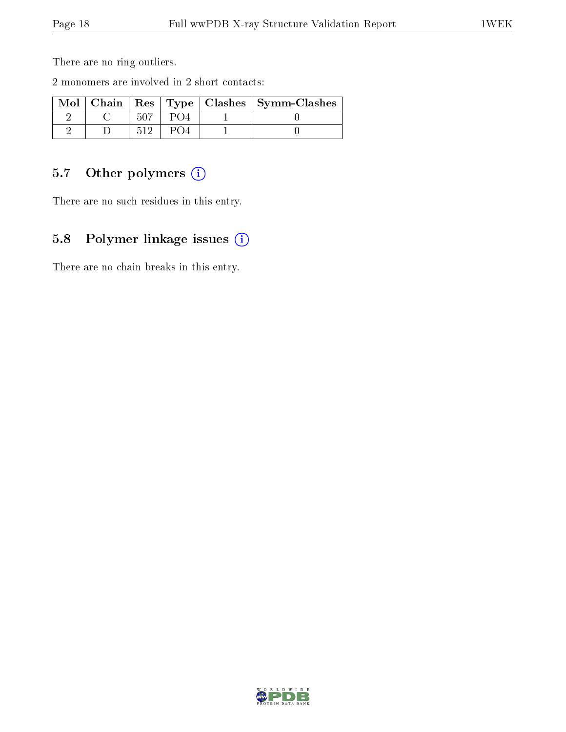There are no ring outliers.

2 monomers are involved in 2 short contacts:

|  |  | Mol   Chain   Res   Type   Clashes   Symm-Clashes |
|--|--|---------------------------------------------------|
|  |  |                                                   |
|  |  |                                                   |

## 5.7 [O](https://www.wwpdb.org/validation/2017/XrayValidationReportHelp#nonstandard_residues_and_ligands)ther polymers (i)

There are no such residues in this entry.

## 5.8 Polymer linkage issues (i)

There are no chain breaks in this entry.